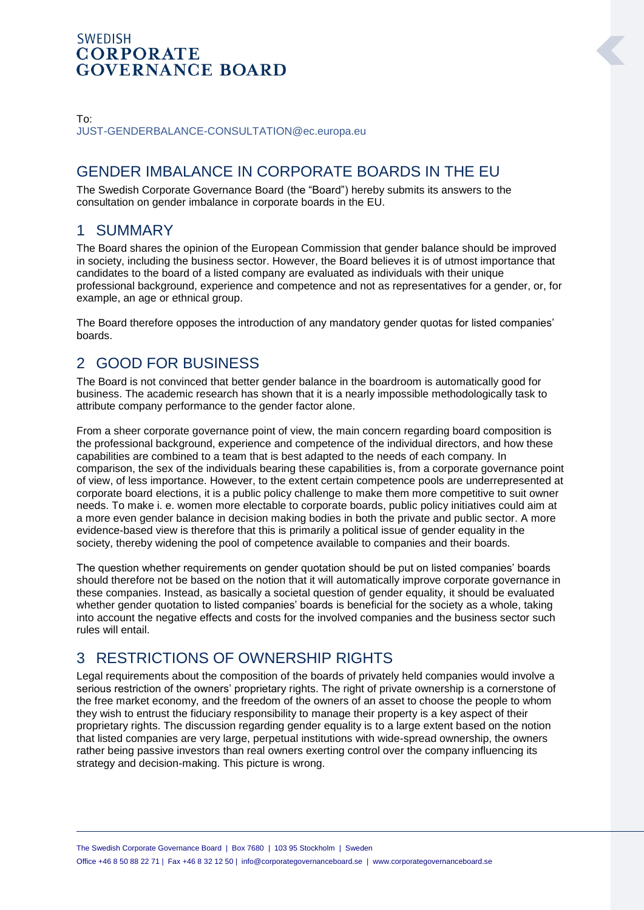#### **SWEDISH CORPORATE GOVERNANCE BOARD**

#### To: [JUST-GENDERBALANCE-CONSULTATION@ec.europa.eu](mailto:JUST-GENDERBALANCE-CONSULTATION@ec.europa.eu)

## GENDER IMBALANCE IN CORPORATE BOARDS IN THE EU

The Swedish Corporate Governance Board (the "Board") hereby submits its answers to the consultation on gender imbalance in corporate boards in the EU.

## 1 SUMMARY

The Board shares the opinion of the European Commission that gender balance should be improved in society, including the business sector. However, the Board believes it is of utmost importance that candidates to the board of a listed company are evaluated as individuals with their unique professional background, experience and competence and not as representatives for a gender, or, for example, an age or ethnical group.

The Board therefore opposes the introduction of any mandatory gender quotas for listed companies' boards.

## 2 GOOD FOR BUSINESS

The Board is not convinced that better gender balance in the boardroom is automatically good for business. The academic research has shown that it is a nearly impossible methodologically task to attribute company performance to the gender factor alone.

From a sheer corporate governance point of view, the main concern regarding board composition is the professional background, experience and competence of the individual directors, and how these capabilities are combined to a team that is best adapted to the needs of each company. In comparison, the sex of the individuals bearing these capabilities is, from a corporate governance point of view, of less importance. However, to the extent certain competence pools are underrepresented at corporate board elections, it is a public policy challenge to make them more competitive to suit owner needs. To make i. e. women more electable to corporate boards, public policy initiatives could aim at a more even gender balance in decision making bodies in both the private and public sector. A more evidence-based view is therefore that this is primarily a political issue of gender equality in the society, thereby widening the pool of competence available to companies and their boards.

The question whether requirements on gender quotation should be put on listed companies' boards should therefore not be based on the notion that it will automatically improve corporate governance in these companies. Instead, as basically a societal question of gender equality, it should be evaluated whether gender quotation to listed companies' boards is beneficial for the society as a whole, taking into account the negative effects and costs for the involved companies and the business sector such rules will entail.

# 3 RESTRICTIONS OF OWNERSHIP RIGHTS

Legal requirements about the composition of the boards of privately held companies would involve a serious restriction of the owners' proprietary rights. The right of private ownership is a cornerstone of the free market economy, and the freedom of the owners of an asset to choose the people to whom they wish to entrust the fiduciary responsibility to manage their property is a key aspect of their proprietary rights. The discussion regarding gender equality is to a large extent based on the notion that listed companies are very large, perpetual institutions with wide-spread ownership, the owners rather being passive investors than real owners exerting control over the company influencing its strategy and decision-making. This picture is wrong.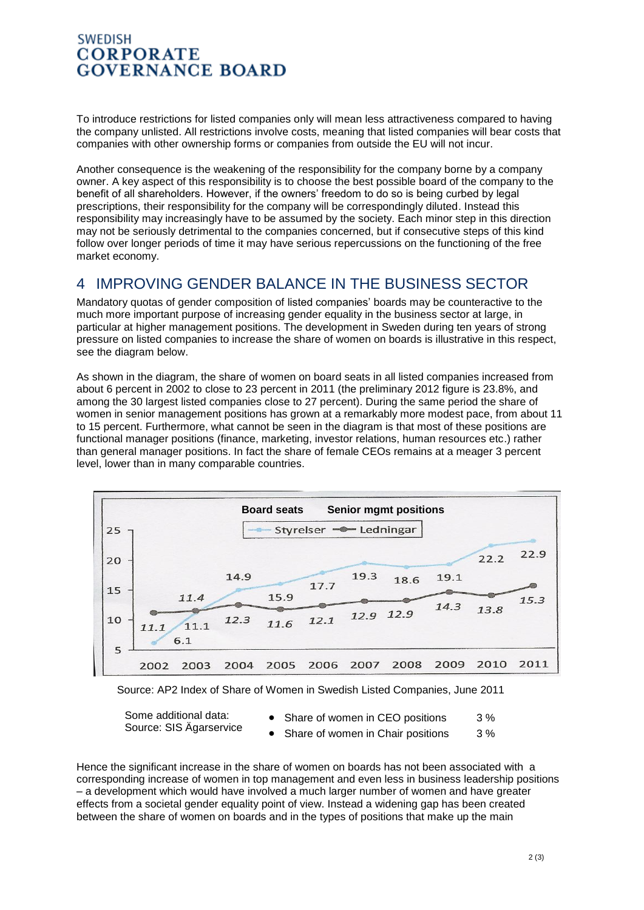#### **SWEDISH CORPORATE GOVERNANCE BOARD**

To introduce restrictions for listed companies only will mean less attractiveness compared to having the company unlisted. All restrictions involve costs, meaning that listed companies will bear costs that companies with other ownership forms or companies from outside the EU will not incur.

Another consequence is the weakening of the responsibility for the company borne by a company owner. A key aspect of this responsibility is to choose the best possible board of the company to the benefit of all shareholders. However, if the owners' freedom to do so is being curbed by legal prescriptions, their responsibility for the company will be correspondingly diluted. Instead this responsibility may increasingly have to be assumed by the society. Each minor step in this direction may not be seriously detrimental to the companies concerned, but if consecutive steps of this kind follow over longer periods of time it may have serious repercussions on the functioning of the free market economy.

## 4 IMPROVING GENDER BALANCE IN THE BUSINESS SECTOR

Mandatory quotas of gender composition of listed companies' boards may be counteractive to the much more important purpose of increasing gender equality in the business sector at large, in particular at higher management positions. The development in Sweden during ten years of strong pressure on listed companies to increase the share of women on boards is illustrative in this respect, see the diagram below.

As shown in the diagram, the share of women on board seats in all listed companies increased from about 6 percent in 2002 to close to 23 percent in 2011 (the preliminary 2012 figure is 23.8%, and among the 30 largest listed companies close to 27 percent). During the same period the share of women in senior management positions has grown at a remarkably more modest pace, from about 11 to 15 percent. Furthermore, what cannot be seen in the diagram is that most of these positions are functional manager positions (finance, marketing, investor relations, human resources etc.) rather than general manager positions. In fact the share of female CEOs remains at a meager 3 percent level, lower than in many comparable countries.



Source: AP2 Index of Share of Women in Swedish Listed Companies, June 2011

Some additional data:

- Some additional data:<br>Source: SIS Ägarservice <br>Share of women in Chair positions 3%
	- Share of women in Chair positions

Hence the significant increase in the share of women on boards has not been associated with a corresponding increase of women in top management and even less in business leadership positions – a development which would have involved a much larger number of women and have greater effects from a societal gender equality point of view. Instead a widening gap has been created between the share of women on boards and in the types of positions that make up the main